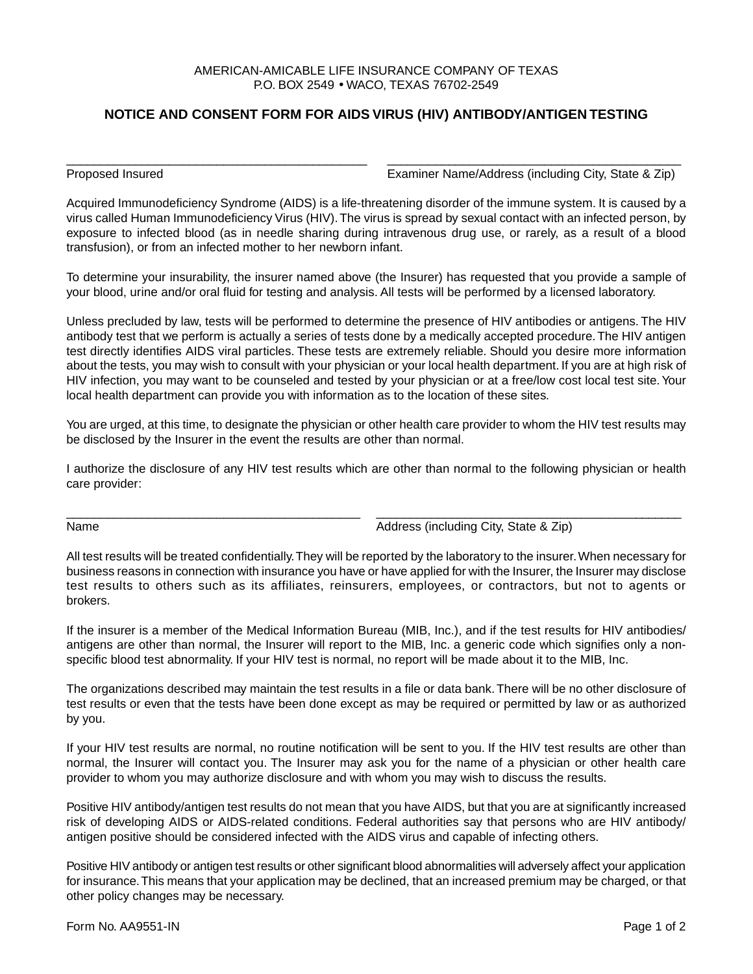## AMERICAN-AMICABLE LIFE INSURANCE COMPANY OF TEXAS P.O. BOX 2549 • WACO, TEXAS 76702-2549

## **NOTICE AND CONSENT FORM FOR AIDS VIRUS (HIV) ANTIBODY/ANTIGEN TESTING**

\_\_\_\_\_\_\_\_\_\_\_\_\_\_\_\_\_\_\_\_\_\_\_\_\_\_\_\_\_\_\_\_\_\_\_\_\_\_\_\_\_\_\_\_ \_\_\_\_\_\_\_\_\_\_\_\_\_\_\_\_\_\_\_\_\_\_\_\_\_\_\_\_\_\_\_\_\_\_\_\_\_\_\_\_\_\_\_

Proposed Insured Examiner Name/Address (including City, State & Zip)

Acquired Immunodeficiency Syndrome (AIDS) is a life-threatening disorder of the immune system. It is caused by a virus called Human Immunodeficiency Virus (HIV). The virus is spread by sexual contact with an infected person, by exposure to infected blood (as in needle sharing during intravenous drug use, or rarely, as a result of a blood transfusion), or from an infected mother to her newborn infant.

To determine your insurability, the insurer named above (the Insurer) has requested that you provide a sample of your blood, urine and/or oral fluid for testing and analysis. All tests will be performed by a licensed laboratory.

Unless precluded by law, tests will be performed to determine the presence of HIV antibodies or antigens. The HIV antibody test that we perform is actually a series of tests done by a medically accepted procedure. The HIV antigen test directly identifies AIDS viral particles. These tests are extremely reliable. Should you desire more information about the tests, you may wish to consult with your physician or your local health department. If you are at high risk of HIV infection, you may want to be counseled and tested by your physician or at a free/low cost local test site. Your local health department can provide you with information as to the location of these sites.

You are urged, at this time, to designate the physician or other health care provider to whom the HIV test results may be disclosed by the Insurer in the event the results are other than normal.

I authorize the disclosure of any HIV test results which are other than normal to the following physician or health care provider:

\_\_\_\_\_\_\_\_\_\_\_\_\_\_\_\_\_\_\_\_\_\_\_\_\_\_\_\_\_\_\_\_\_\_\_\_\_\_\_\_\_\_\_ \_\_\_\_\_\_\_\_\_\_\_\_\_\_\_\_\_\_\_\_\_\_\_\_\_\_\_\_\_\_\_\_\_\_\_\_\_\_\_\_\_\_\_\_\_

Name **Address** (including City, State & Zip)

All test results will be treated confidentially. They will be reported by the laboratory to the insurer. When necessary for business reasons in connection with insurance you have or have applied for with the Insurer, the Insurer may disclose test results to others such as its affiliates, reinsurers, employees, or contractors, but not to agents or brokers.

If the insurer is a member of the Medical Information Bureau (MIB, Inc.), and if the test results for HIV antibodies/ antigens are other than normal, the Insurer will report to the MIB, Inc. a generic code which signifies only a nonspecific blood test abnormality. If your HIV test is normal, no report will be made about it to the MIB, Inc.

The organizations described may maintain the test results in a file or data bank. There will be no other disclosure of test results or even that the tests have been done except as may be required or permitted by law or as authorized by you.

If your HIV test results are normal, no routine notification will be sent to you. If the HIV test results are other than normal, the Insurer will contact you. The Insurer may ask you for the name of a physician or other health care provider to whom you may authorize disclosure and with whom you may wish to discuss the results.

Positive HIV antibody/antigen test results do not mean that you have AIDS, but that you are at significantly increased risk of developing AIDS or AIDS-related conditions. Federal authorities say that persons who are HIV antibody/ antigen positive should be considered infected with the AIDS virus and capable of infecting others.

Positive HIV antibody or antigen test results or other significant blood abnormalities will adversely affect your application for insurance. This means that your application may be declined, that an increased premium may be charged, or that other policy changes may be necessary.